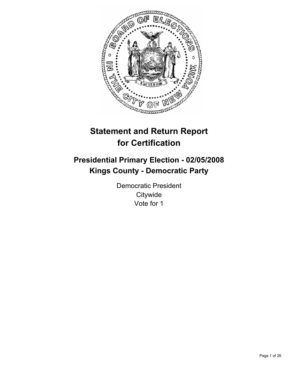

# **Statement and Return Report for Certification**

## **Presidential Primary Election - 02/05/2008 Kings County - Democratic Party**

Democratic President **Citywide** Vote for 1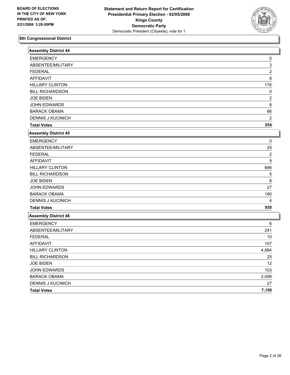

| <b>Assembly District 44</b> |                |
|-----------------------------|----------------|
| <b>EMERGENCY</b>            | 0              |
| ABSENTEE/MILITARY           | 3              |
| <b>FEDERAL</b>              | $\overline{2}$ |
| <b>AFFIDAVIT</b>            | 8              |
| <b>HILLARY CLINTON</b>      | 176            |
| <b>BILL RICHARDSON</b>      | 0              |
| <b>JOE BIDEN</b>            | $\overline{2}$ |
| <b>JOHN EDWARDS</b>         | 8              |
| <b>BARACK OBAMA</b>         | 66             |
| <b>DENNIS J KUCINICH</b>    | $\overline{2}$ |
| <b>Total Votes</b>          | 254            |
| <b>Assembly District 45</b> |                |
| <b>EMERGENCY</b>            | 0              |
| ABSENTEE/MILITARY           | 25             |
| <b>FEDERAL</b>              | $\overline{2}$ |
| <b>AFFIDAVIT</b>            | 9              |
| <b>HILLARY CLINTON</b>      | 696            |
| <b>BILL RICHARDSON</b>      | 5              |
| <b>JOE BIDEN</b>            | 8              |
| <b>JOHN EDWARDS</b>         | 27             |
| <b>BARACK OBAMA</b>         | 190            |
| <b>DENNIS J KUCINICH</b>    | 4              |
| <b>Total Votes</b>          | 930            |
| <b>Assembly District 46</b> |                |
| <b>EMERGENCY</b>            | 6              |
| ABSENTEE/MILITARY           | 241            |
| <b>FEDERAL</b>              | $10$           |
| <b>AFFIDAVIT</b>            | 107            |
| <b>HILLARY CLINTON</b>      | 4,884          |
| <b>BILL RICHARDSON</b>      | 25             |
| <b>JOE BIDEN</b>            | 12             |
| JOHN EDWARDS                | 103            |
| <b>BARACK OBAMA</b>         | 2,099          |
| <b>DENNIS J KUCINICH</b>    | 27             |
| <b>Total Votes</b>          | 7,150          |
|                             |                |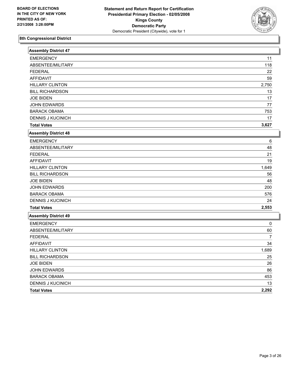

| <b>Assembly District 47</b> |                |
|-----------------------------|----------------|
| <b>EMERGENCY</b>            | 11             |
| ABSENTEE/MILITARY           | 118            |
| <b>FEDERAL</b>              | 22             |
| <b>AFFIDAVIT</b>            | 59             |
| <b>HILLARY CLINTON</b>      | 2,750          |
| <b>BILL RICHARDSON</b>      | 13             |
| <b>JOE BIDEN</b>            | 17             |
| JOHN EDWARDS                | 77             |
| <b>BARACK OBAMA</b>         | 753            |
| <b>DENNIS J KUCINICH</b>    | 17             |
| <b>Total Votes</b>          | 3,627          |
| <b>Assembly District 48</b> |                |
| <b>EMERGENCY</b>            | 6              |
| ABSENTEE/MILITARY           | 48             |
| <b>FEDERAL</b>              | 21             |
| <b>AFFIDAVIT</b>            | 19             |
| <b>HILLARY CLINTON</b>      | 1,649          |
| <b>BILL RICHARDSON</b>      | 56             |
| <b>JOE BIDEN</b>            | 48             |
| JOHN EDWARDS                | 200            |
| <b>BARACK OBAMA</b>         | 576            |
| <b>DENNIS J KUCINICH</b>    | 24             |
| <b>Total Votes</b>          | 2,553          |
| <b>Assembly District 49</b> |                |
| <b>EMERGENCY</b>            | 0              |
| ABSENTEE/MILITARY           | 60             |
| <b>FEDERAL</b>              | $\overline{7}$ |
| <b>AFFIDAVIT</b>            | 34             |
| <b>HILLARY CLINTON</b>      | 1,689          |
| <b>BILL RICHARDSON</b>      | 25             |
| <b>JOE BIDEN</b>            | 26             |
| <b>JOHN EDWARDS</b>         | 86             |
| <b>BARACK OBAMA</b>         | 453            |
| <b>DENNIS J KUCINICH</b>    | 13             |
| <b>Total Votes</b>          | 2,292          |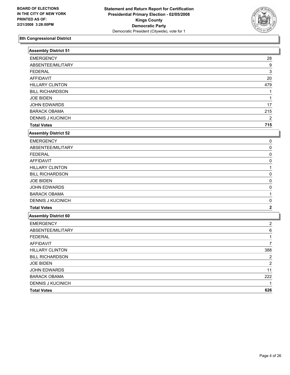

| <b>Assembly District 51</b> |                         |
|-----------------------------|-------------------------|
| <b>EMERGENCY</b>            | 28                      |
| ABSENTEE/MILITARY           | 9                       |
| <b>FEDERAL</b>              | 3                       |
| <b>AFFIDAVIT</b>            | 20                      |
| <b>HILLARY CLINTON</b>      | 479                     |
| <b>BILL RICHARDSON</b>      | 1                       |
| <b>JOE BIDEN</b>            |                         |
| <b>JOHN EDWARDS</b>         | 17                      |
| <b>BARACK OBAMA</b>         | 215                     |
| <b>DENNIS J KUCINICH</b>    | $\overline{2}$          |
| <b>Total Votes</b>          | 715                     |
| <b>Assembly District 52</b> |                         |
| <b>EMERGENCY</b>            | 0                       |
| ABSENTEE/MILITARY           | 0                       |
| <b>FEDERAL</b>              | 0                       |
| <b>AFFIDAVIT</b>            | 0                       |
| <b>HILLARY CLINTON</b>      | 1                       |
| <b>BILL RICHARDSON</b>      | 0                       |
| <b>JOE BIDEN</b>            | $\Omega$                |
| <b>JOHN EDWARDS</b>         | $\Omega$                |
| <b>BARACK OBAMA</b>         | 1                       |
| <b>DENNIS J KUCINICH</b>    | 0                       |
| <b>Total Votes</b>          | $\mathbf 2$             |
| Assembly District 60        |                         |
| <b>EMERGENCY</b>            | $\overline{\mathbf{c}}$ |
| ABSENTEE/MILITARY           | 6                       |
| <b>FEDERAL</b>              | 1                       |
| <b>AFFIDAVIT</b>            | $\overline{7}$          |
| <b>HILLARY CLINTON</b>      | 388                     |
| <b>BILL RICHARDSON</b>      | $\overline{2}$          |
| <b>JOE BIDEN</b>            | $\overline{2}$          |
| JOHN EDWARDS                | 11                      |
| <b>BARACK OBAMA</b>         | 222                     |
| <b>DENNIS J KUCINICH</b>    |                         |
| <b>Total Votes</b>          | 626                     |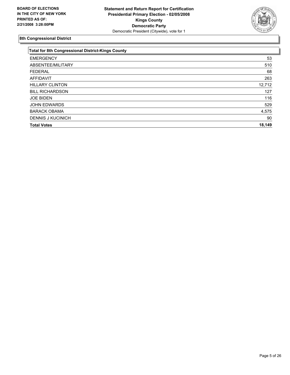

| <b>Total for 8th Congressional District-Kings County</b> |        |
|----------------------------------------------------------|--------|
| <b>EMERGENCY</b>                                         | 53     |
| ABSENTEE/MILITARY                                        | 510    |
| <b>FEDERAL</b>                                           | 68     |
| AFFIDAVIT                                                | 263    |
| <b>HILLARY CLINTON</b>                                   | 12,712 |
| <b>BILL RICHARDSON</b>                                   | 127    |
| <b>JOE BIDEN</b>                                         | 116    |
| <b>JOHN EDWARDS</b>                                      | 529    |
| <b>BARACK OBAMA</b>                                      | 4,575  |
| <b>DENNIS J KUCINICH</b>                                 | 90     |
| <b>Total Votes</b>                                       | 18,149 |
|                                                          |        |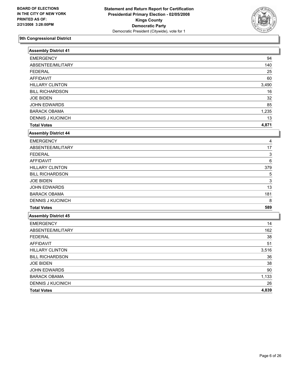

| <b>Assembly District 41</b> |       |
|-----------------------------|-------|
| <b>EMERGENCY</b>            | 94    |
| ABSENTEE/MILITARY           | 140   |
| <b>FEDERAL</b>              | 25    |
| <b>AFFIDAVIT</b>            | 60    |
| <b>HILLARY CLINTON</b>      | 3,490 |
| <b>BILL RICHARDSON</b>      | 16    |
| <b>JOE BIDEN</b>            | 32    |
| <b>JOHN EDWARDS</b>         | 85    |
| <b>BARACK OBAMA</b>         | 1,235 |
| <b>DENNIS J KUCINICH</b>    | 13    |
| <b>Total Votes</b>          | 4,871 |
| <b>Assembly District 44</b> |       |
| <b>EMERGENCY</b>            | 4     |
| ABSENTEE/MILITARY           | 17    |
| <b>FEDERAL</b>              | 3     |
| <b>AFFIDAVIT</b>            | 6     |
| <b>HILLARY CLINTON</b>      | 379   |
| <b>BILL RICHARDSON</b>      | 5     |
| <b>JOE BIDEN</b>            | 3     |
| <b>JOHN EDWARDS</b>         | 13    |
| <b>BARACK OBAMA</b>         | 181   |
| <b>DENNIS J KUCINICH</b>    | 8     |
| <b>Total Votes</b>          | 589   |
| <b>Assembly District 45</b> |       |
| <b>EMERGENCY</b>            | 14    |
| ABSENTEE/MILITARY           | 162   |
| <b>FEDERAL</b>              | 38    |
| <b>AFFIDAVIT</b>            | 51    |
| <b>HILLARY CLINTON</b>      | 3,516 |
| <b>BILL RICHARDSON</b>      | 36    |
| <b>JOE BIDEN</b>            | 38    |
| JOHN EDWARDS                | 90    |
| <b>BARACK OBAMA</b>         | 1,133 |
| <b>DENNIS J KUCINICH</b>    | 26    |
| <b>Total Votes</b>          | 4,839 |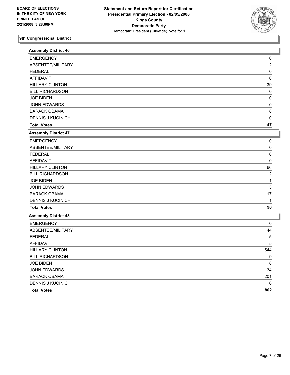

| <b>Assembly District 46</b> |                |
|-----------------------------|----------------|
| <b>EMERGENCY</b>            | 0              |
| ABSENTEE/MILITARY           | $\overline{2}$ |
| <b>FEDERAL</b>              | 0              |
| <b>AFFIDAVIT</b>            | 0              |
| <b>HILLARY CLINTON</b>      | 39             |
| <b>BILL RICHARDSON</b>      | 0              |
| <b>JOE BIDEN</b>            | 0              |
| JOHN EDWARDS                | 0              |
| <b>BARACK OBAMA</b>         | 8              |
| <b>DENNIS J KUCINICH</b>    | 0              |
| <b>Total Votes</b>          | 47             |
| <b>Assembly District 47</b> |                |
| <b>EMERGENCY</b>            | 0              |
| ABSENTEE/MILITARY           | 0              |
| <b>FEDERAL</b>              | 0              |
| <b>AFFIDAVIT</b>            | $\Omega$       |
| <b>HILLARY CLINTON</b>      | 66             |
| <b>BILL RICHARDSON</b>      | $\overline{2}$ |
| <b>JOE BIDEN</b>            | 1              |
| JOHN EDWARDS                | 3              |
| <b>BARACK OBAMA</b>         | 17             |
| <b>DENNIS J KUCINICH</b>    | 1              |
| <b>Total Votes</b>          | 90             |
| <b>Assembly District 48</b> |                |
| <b>EMERGENCY</b>            | 0              |
| ABSENTEE/MILITARY           | 44             |
| <b>FEDERAL</b>              | 5              |
| <b>AFFIDAVIT</b>            | 5              |
| <b>HILLARY CLINTON</b>      | 544            |
| <b>BILL RICHARDSON</b>      | 9              |
| <b>JOE BIDEN</b>            | 8              |
| JOHN EDWARDS                | 34             |
| <b>BARACK OBAMA</b>         | 201            |
| DENNIS J KUCINICH           | 6              |
| <b>Total Votes</b>          | 802            |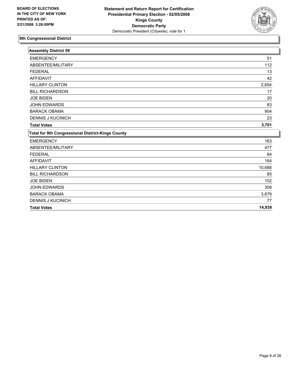

| <b>Assembly District 59</b>                       |        |
|---------------------------------------------------|--------|
| <b>EMERGENCY</b>                                  | 51     |
| ABSENTEE/MILITARY                                 | 112    |
| <b>FEDERAL</b>                                    | 13     |
| <b>AFFIDAVIT</b>                                  | 42     |
| <b>HILLARY CLINTON</b>                            | 2,654  |
| <b>BILL RICHARDSON</b>                            | 17     |
| <b>JOE BIDEN</b>                                  | 20     |
| <b>JOHN EDWARDS</b>                               | 83     |
| <b>BARACK OBAMA</b>                               | 904    |
| <b>DENNIS J KUCINICH</b>                          | 23     |
| <b>Total Votes</b>                                | 3,701  |
| Total for 9th Congressional District-Kings County |        |
| <b>EMERGENCY</b>                                  | 163    |
| ABSENTEE/MILITARY                                 | 477    |
| <b>FEDERAL</b>                                    | 84     |
| <b>AFFIDAVIT</b>                                  | 164    |
| <b>HILLARY CLINTON</b>                            | 10,688 |
| <b>BILL RICHARDSON</b>                            | 85     |
| <b>JOE BIDEN</b>                                  | 102    |
| <b>JOHN EDWARDS</b>                               | 308    |
| <b>BARACK OBAMA</b>                               | 3,679  |
| <b>DENNIS J KUCINICH</b>                          | 77     |
| <b>Total Votes</b>                                | 14,939 |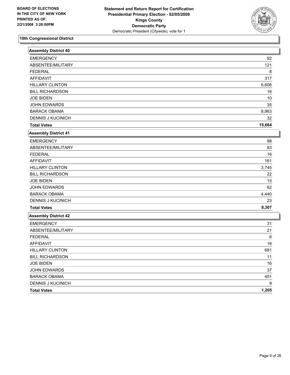

| <b>Assembly District 40</b> |        |
|-----------------------------|--------|
| <b>EMERGENCY</b>            | 92     |
| ABSENTEE/MILITARY           | 121    |
| <b>FEDERAL</b>              | 8      |
| <b>AFFIDAVIT</b>            | 317    |
| <b>HILLARY CLINTON</b>      | 6,608  |
| <b>BILL RICHARDSON</b>      | 16     |
| <b>JOE BIDEN</b>            | 10     |
| <b>JOHN EDWARDS</b>         | 35     |
| <b>BARACK OBAMA</b>         | 8,963  |
| <b>DENNIS J KUCINICH</b>    | 32     |
| <b>Total Votes</b>          | 15,664 |
| <b>Assembly District 41</b> |        |
| <b>EMERGENCY</b>            | 98     |
| ABSENTEE/MILITARY           | 83     |
| <b>FEDERAL</b>              | 16     |
| <b>AFFIDAVIT</b>            | 161    |
| <b>HILLARY CLINTON</b>      | 3,745  |
| <b>BILL RICHARDSON</b>      | 22     |
| <b>JOE BIDEN</b>            | 15     |
| <b>JOHN EDWARDS</b>         | 62     |
| <b>BARACK OBAMA</b>         | 4,440  |
| <b>DENNIS J KUCINICH</b>    | 23     |
| <b>Total Votes</b>          | 8,307  |
| <b>Assembly District 42</b> |        |
| <b>EMERGENCY</b>            | 31     |
| ABSENTEE/MILITARY           | 21     |
| <b>FEDERAL</b>              | 6      |
| <b>AFFIDAVIT</b>            | 16     |
| <b>HILLARY CLINTON</b>      | 681    |
| <b>BILL RICHARDSON</b>      | 11     |
| <b>JOE BIDEN</b>            | 16     |
| JOHN EDWARDS                | 37     |
| <b>BARACK OBAMA</b>         | 451    |
| <b>DENNIS J KUCINICH</b>    | 9      |
| <b>Total Votes</b>          | 1,205  |
|                             |        |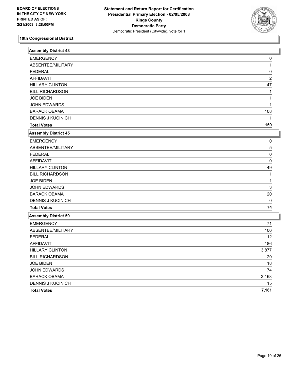

| 0<br>1<br>0<br>$\overline{c}$<br>47<br>1<br>1<br>108<br>1<br>159<br>0<br>5<br>0<br>0<br>49<br>1<br>1<br>3<br>20<br>$\mathbf 0$<br>74<br>71<br>106<br>12<br>186<br>3,877<br>29<br>18<br>74<br>3,168<br>15<br>7,181 | <b>Assembly District 43</b> |  |
|-------------------------------------------------------------------------------------------------------------------------------------------------------------------------------------------------------------------|-----------------------------|--|
|                                                                                                                                                                                                                   | <b>EMERGENCY</b>            |  |
|                                                                                                                                                                                                                   | ABSENTEE/MILITARY           |  |
|                                                                                                                                                                                                                   | <b>FEDERAL</b>              |  |
|                                                                                                                                                                                                                   | <b>AFFIDAVIT</b>            |  |
|                                                                                                                                                                                                                   | <b>HILLARY CLINTON</b>      |  |
|                                                                                                                                                                                                                   | <b>BILL RICHARDSON</b>      |  |
|                                                                                                                                                                                                                   | <b>JOE BIDEN</b>            |  |
|                                                                                                                                                                                                                   | JOHN EDWARDS                |  |
|                                                                                                                                                                                                                   | <b>BARACK OBAMA</b>         |  |
|                                                                                                                                                                                                                   | <b>DENNIS J KUCINICH</b>    |  |
|                                                                                                                                                                                                                   | <b>Total Votes</b>          |  |
|                                                                                                                                                                                                                   | <b>Assembly District 45</b> |  |
|                                                                                                                                                                                                                   | <b>EMERGENCY</b>            |  |
|                                                                                                                                                                                                                   | ABSENTEE/MILITARY           |  |
|                                                                                                                                                                                                                   | <b>FEDERAL</b>              |  |
|                                                                                                                                                                                                                   | <b>AFFIDAVIT</b>            |  |
|                                                                                                                                                                                                                   | <b>HILLARY CLINTON</b>      |  |
|                                                                                                                                                                                                                   | <b>BILL RICHARDSON</b>      |  |
|                                                                                                                                                                                                                   | <b>JOE BIDEN</b>            |  |
|                                                                                                                                                                                                                   | <b>JOHN EDWARDS</b>         |  |
|                                                                                                                                                                                                                   | <b>BARACK OBAMA</b>         |  |
|                                                                                                                                                                                                                   | <b>DENNIS J KUCINICH</b>    |  |
|                                                                                                                                                                                                                   | <b>Total Votes</b>          |  |
|                                                                                                                                                                                                                   | Assembly District 50        |  |
|                                                                                                                                                                                                                   | <b>EMERGENCY</b>            |  |
|                                                                                                                                                                                                                   | ABSENTEE/MILITARY           |  |
|                                                                                                                                                                                                                   | <b>FEDERAL</b>              |  |
|                                                                                                                                                                                                                   | <b>AFFIDAVIT</b>            |  |
|                                                                                                                                                                                                                   | <b>HILLARY CLINTON</b>      |  |
|                                                                                                                                                                                                                   | <b>BILL RICHARDSON</b>      |  |
|                                                                                                                                                                                                                   | <b>JOE BIDEN</b>            |  |
|                                                                                                                                                                                                                   | JOHN EDWARDS                |  |
|                                                                                                                                                                                                                   | <b>BARACK OBAMA</b>         |  |
|                                                                                                                                                                                                                   | DENNIS J KUCINICH           |  |
|                                                                                                                                                                                                                   | <b>Total Votes</b>          |  |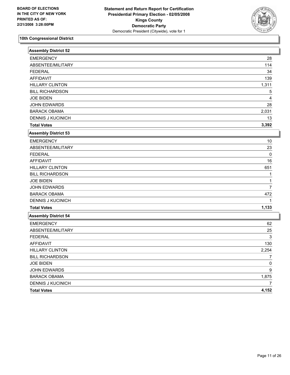

| <b>Assembly District 52</b> |                |
|-----------------------------|----------------|
| <b>EMERGENCY</b>            | 28             |
| ABSENTEE/MILITARY           | 114            |
| <b>FEDERAL</b>              | 34             |
| <b>AFFIDAVIT</b>            | 139            |
| <b>HILLARY CLINTON</b>      | 1,311          |
| <b>BILL RICHARDSON</b>      | 5              |
| <b>JOE BIDEN</b>            | 4              |
| <b>JOHN EDWARDS</b>         | 28             |
| <b>BARACK OBAMA</b>         | 2,031          |
| <b>DENNIS J KUCINICH</b>    | 13             |
| <b>Total Votes</b>          | 3,392          |
| Assembly District 53        |                |
| <b>EMERGENCY</b>            | 10             |
| ABSENTEE/MILITARY           | 23             |
| <b>FEDERAL</b>              | $\mathbf{0}$   |
| <b>AFFIDAVIT</b>            | 16             |
| <b>HILLARY CLINTON</b>      | 651            |
| <b>BILL RICHARDSON</b>      | 1              |
| <b>JOE BIDEN</b>            |                |
| <b>JOHN EDWARDS</b>         | $\overline{7}$ |
| <b>BARACK OBAMA</b>         | 472            |
| DENNIS J KUCINICH           |                |
| <b>Total Votes</b>          | 1,133          |
| Assembly District 54        |                |
| <b>EMERGENCY</b>            | 62             |
| ABSENTEE/MILITARY           | 25             |
| <b>FEDERAL</b>              | 3              |
| <b>AFFIDAVIT</b>            | 130            |
| <b>HILLARY CLINTON</b>      | 2,254          |
| <b>BILL RICHARDSON</b>      | $\overline{7}$ |
| <b>JOE BIDEN</b>            | 0              |
| JOHN EDWARDS                | 9              |
| <b>BARACK OBAMA</b>         | 1,875          |
| <b>DENNIS J KUCINICH</b>    | 7              |
| <b>Total Votes</b>          | 4,152          |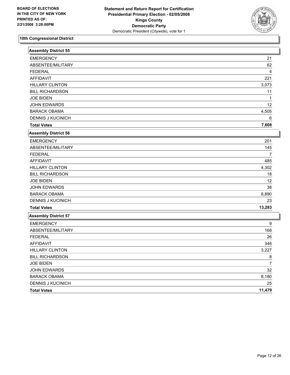

| Assembly District 55        |                |
|-----------------------------|----------------|
| <b>EMERGENCY</b>            | 21             |
| ABSENTEE/MILITARY           | 62             |
| <b>FEDERAL</b>              | 4              |
| <b>AFFIDAVIT</b>            | 221            |
| <b>HILLARY CLINTON</b>      | 3,073          |
| <b>BILL RICHARDSON</b>      | 11             |
| <b>JOE BIDEN</b>            | 1              |
| <b>JOHN EDWARDS</b>         | 12             |
| <b>BARACK OBAMA</b>         | 4,505          |
| <b>DENNIS J KUCINICH</b>    | 6              |
| <b>Total Votes</b>          | 7,608          |
| <b>Assembly District 56</b> |                |
| <b>EMERGENCY</b>            | 201            |
| ABSENTEE/MILITARY           | 145            |
| <b>FEDERAL</b>              | $\overline{7}$ |
| <b>AFFIDAVIT</b>            | 485            |
| <b>HILLARY CLINTON</b>      | 4,302          |
| <b>BILL RICHARDSON</b>      | 18             |
| <b>JOE BIDEN</b>            | 12             |
| JOHN EDWARDS                | 38             |
| <b>BARACK OBAMA</b>         | 8,890          |
| <b>DENNIS J KUCINICH</b>    | 23             |
| <b>Total Votes</b>          | 13,283         |
| Assembly District 57        |                |
| <b>EMERGENCY</b>            | 9              |
| ABSENTEE/MILITARY           | 168            |
| <b>FEDERAL</b>              | 26             |
| <b>AFFIDAVIT</b>            | 346            |
| <b>HILLARY CLINTON</b>      | 3,227          |
| <b>BILL RICHARDSON</b>      | 8              |
| <b>JOE BIDEN</b>            | $\overline{7}$ |
| <b>JOHN EDWARDS</b>         | 32             |
| <b>BARACK OBAMA</b>         | 8,180          |
| <b>DENNIS J KUCINICH</b>    | 25             |
| <b>Total Votes</b>          | 11,479         |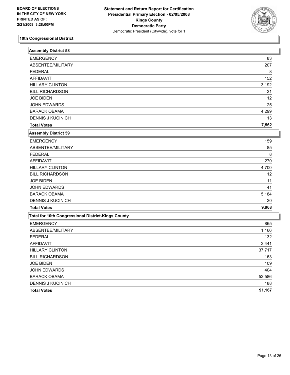

| <b>Assembly District 58</b>                        |        |
|----------------------------------------------------|--------|
| <b>EMERGENCY</b>                                   | 83     |
| ABSENTEE/MILITARY                                  | 207    |
| <b>FEDERAL</b>                                     | 8      |
| <b>AFFIDAVIT</b>                                   | 152    |
| <b>HILLARY CLINTON</b>                             | 3,192  |
| <b>BILL RICHARDSON</b>                             | 21     |
| <b>JOE BIDEN</b>                                   | 12     |
| <b>JOHN EDWARDS</b>                                | 25     |
| <b>BARACK OBAMA</b>                                | 4,299  |
| <b>DENNIS J KUCINICH</b>                           | 13     |
| <b>Total Votes</b>                                 | 7,562  |
| <b>Assembly District 59</b>                        |        |
| <b>EMERGENCY</b>                                   | 159    |
| ABSENTEE/MILITARY                                  | 85     |
| <b>FEDERAL</b>                                     | 8      |
| <b>AFFIDAVIT</b>                                   | 270    |
| <b>HILLARY CLINTON</b>                             | 4,700  |
| <b>BILL RICHARDSON</b>                             | 12     |
| <b>JOE BIDEN</b>                                   | 11     |
| JOHN EDWARDS                                       | 41     |
| <b>BARACK OBAMA</b>                                | 5,184  |
| <b>DENNIS J KUCINICH</b>                           | 20     |
| <b>Total Votes</b>                                 | 9,968  |
| Total for 10th Congressional District-Kings County |        |
| <b>EMERGENCY</b>                                   | 865    |
| ABSENTEE/MILITARY                                  | 1,166  |
| <b>FEDERAL</b>                                     | 132    |
| <b>AFFIDAVIT</b>                                   | 2,441  |
| <b>HILLARY CLINTON</b>                             | 37,717 |
| <b>BILL RICHARDSON</b>                             | 163    |
| <b>JOE BIDEN</b>                                   | 109    |
| JOHN EDWARDS                                       | 404    |
| <b>BARACK OBAMA</b>                                | 52,586 |
| <b>DENNIS J KUCINICH</b>                           | 188    |
| <b>Total Votes</b>                                 | 91,167 |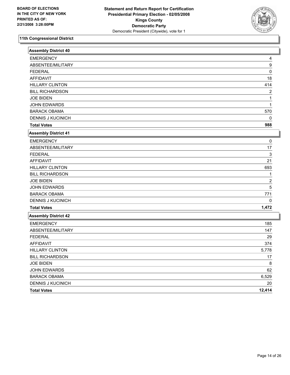

| <b>Assembly District 40</b> |                |
|-----------------------------|----------------|
| <b>EMERGENCY</b>            | 4              |
| ABSENTEE/MILITARY           | 9              |
| <b>FEDERAL</b>              | 0              |
| <b>AFFIDAVIT</b>            | 18             |
| <b>HILLARY CLINTON</b>      | 414            |
| <b>BILL RICHARDSON</b>      | $\overline{2}$ |
| <b>JOE BIDEN</b>            | 1              |
| JOHN EDWARDS                |                |
| <b>BARACK OBAMA</b>         | 570            |
| <b>DENNIS J KUCINICH</b>    | $\mathbf{0}$   |
| <b>Total Votes</b>          | 988            |
| <b>Assembly District 41</b> |                |
| <b>EMERGENCY</b>            | 0              |
| ABSENTEE/MILITARY           | 17             |
| <b>FEDERAL</b>              | 3              |
| <b>AFFIDAVIT</b>            | 21             |
| <b>HILLARY CLINTON</b>      | 693            |
| <b>BILL RICHARDSON</b>      | 1              |
| <b>JOE BIDEN</b>            | $\overline{c}$ |
| <b>JOHN EDWARDS</b>         | 5              |
| <b>BARACK OBAMA</b>         | 771            |
| <b>DENNIS J KUCINICH</b>    | $\Omega$       |
| <b>Total Votes</b>          | 1,472          |
| <b>Assembly District 42</b> |                |
| <b>EMERGENCY</b>            | 185            |
| ABSENTEE/MILITARY           | 147            |
| <b>FEDERAL</b>              | 29             |
| <b>AFFIDAVIT</b>            | 374            |
| <b>HILLARY CLINTON</b>      | 5,778          |
| <b>BILL RICHARDSON</b>      | 17             |
| <b>JOE BIDEN</b>            | 8              |
| <b>JOHN EDWARDS</b>         | 62             |
| <b>BARACK OBAMA</b>         | 6,529          |
| <b>DENNIS J KUCINICH</b>    | 20             |
| <b>Total Votes</b>          | 12,414         |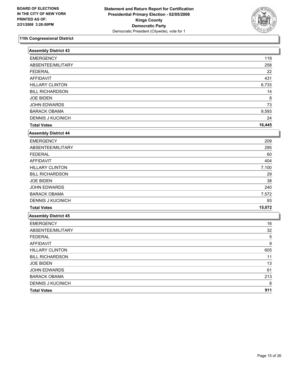

| <b>Assembly District 43</b> |        |
|-----------------------------|--------|
| <b>EMERGENCY</b>            | 119    |
| ABSENTEE/MILITARY           | 258    |
| <b>FEDERAL</b>              | 22     |
| <b>AFFIDAVIT</b>            | 431    |
| <b>HILLARY CLINTON</b>      | 6,733  |
| <b>BILL RICHARDSON</b>      | 14     |
| <b>JOE BIDEN</b>            | 8      |
| JOHN EDWARDS                | 73     |
| <b>BARACK OBAMA</b>         | 9,593  |
| <b>DENNIS J KUCINICH</b>    | 24     |
| <b>Total Votes</b>          | 16,445 |
| <b>Assembly District 44</b> |        |
| <b>EMERGENCY</b>            | 209    |
| ABSENTEE/MILITARY           | 295    |
| <b>FEDERAL</b>              | 60     |
| <b>AFFIDAVIT</b>            | 404    |
| <b>HILLARY CLINTON</b>      | 7,100  |
| <b>BILL RICHARDSON</b>      | 29     |
| <b>JOE BIDEN</b>            | 38     |
| <b>JOHN EDWARDS</b>         | 240    |
| <b>BARACK OBAMA</b>         | 7,572  |
| <b>DENNIS J KUCINICH</b>    | 93     |
| <b>Total Votes</b>          | 15,072 |
| <b>Assembly District 45</b> |        |
| <b>EMERGENCY</b>            | 16     |
| ABSENTEE/MILITARY           | 32     |
| <b>FEDERAL</b>              | 5      |
| <b>AFFIDAVIT</b>            | 9      |
| <b>HILLARY CLINTON</b>      | 605    |
| <b>BILL RICHARDSON</b>      | 11     |
| <b>JOE BIDEN</b>            | 13     |
| <b>JOHN EDWARDS</b>         | 61     |
| <b>BARACK OBAMA</b>         | 213    |
| <b>DENNIS J KUCINICH</b>    | 8      |
| <b>Total Votes</b>          | 911    |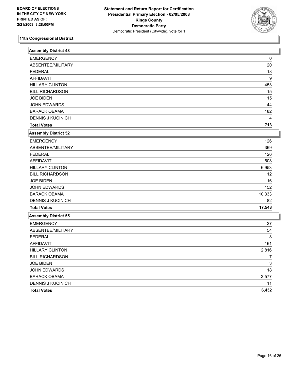

| <b>Assembly District 48</b> |                         |
|-----------------------------|-------------------------|
| <b>EMERGENCY</b>            | 0                       |
| ABSENTEE/MILITARY           | 20                      |
| <b>FEDERAL</b>              | 18                      |
| <b>AFFIDAVIT</b>            | 9                       |
| <b>HILLARY CLINTON</b>      | 453                     |
| <b>BILL RICHARDSON</b>      | 15                      |
| <b>JOE BIDEN</b>            | 15                      |
| JOHN EDWARDS                | 44                      |
| <b>BARACK OBAMA</b>         | 182                     |
| <b>DENNIS J KUCINICH</b>    | $\overline{\mathbf{4}}$ |
| <b>Total Votes</b>          | 713                     |
| <b>Assembly District 52</b> |                         |
| <b>EMERGENCY</b>            | 126                     |
| ABSENTEE/MILITARY           | 369                     |
| <b>FEDERAL</b>              | 126                     |
| <b>AFFIDAVIT</b>            | 508                     |
| <b>HILLARY CLINTON</b>      | 6,953                   |
| <b>BILL RICHARDSON</b>      | 12                      |
| <b>JOE BIDEN</b>            | 16                      |
| JOHN EDWARDS                | 152                     |
| <b>BARACK OBAMA</b>         | 10,333                  |
| <b>DENNIS J KUCINICH</b>    | 82                      |
| <b>Total Votes</b>          | 17,548                  |
| <b>Assembly District 55</b> |                         |
| <b>EMERGENCY</b>            | 27                      |
| ABSENTEE/MILITARY           | 54                      |
| <b>FEDERAL</b>              | 8                       |
| <b>AFFIDAVIT</b>            | 161                     |
| <b>HILLARY CLINTON</b>      | 2,816                   |
| <b>BILL RICHARDSON</b>      | 7                       |
| <b>JOE BIDEN</b>            | 3                       |
| <b>JOHN EDWARDS</b>         | 18                      |
| <b>BARACK OBAMA</b>         | 3,577                   |
| <b>DENNIS J KUCINICH</b>    | 11                      |
| <b>Total Votes</b>          | 6,432                   |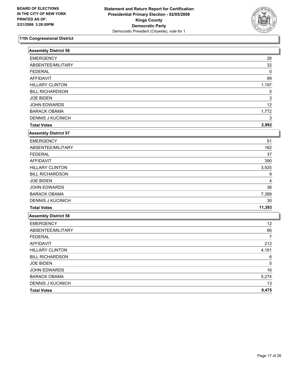

| <b>Assembly District 56</b> |                |
|-----------------------------|----------------|
| <b>EMERGENCY</b>            | 26             |
| ABSENTEE/MILITARY           | 32             |
| <b>FEDERAL</b>              | $\mathbf{0}$   |
| <b>AFFIDAVIT</b>            | 99             |
| <b>HILLARY CLINTON</b>      | 1,197          |
| <b>BILL RICHARDSON</b>      | 5              |
| <b>JOE BIDEN</b>            | 3              |
| <b>JOHN EDWARDS</b>         | 12             |
| <b>BARACK OBAMA</b>         | 1,772          |
| <b>DENNIS J KUCINICH</b>    | 3              |
| <b>Total Votes</b>          | 2,992          |
| <b>Assembly District 57</b> |                |
| <b>EMERGENCY</b>            | 51             |
| ABSENTEE/MILITARY           | 162            |
| <b>FEDERAL</b>              | 37             |
| <b>AFFIDAVIT</b>            | 390            |
| <b>HILLARY CLINTON</b>      | 3,925          |
| <b>BILL RICHARDSON</b>      | 9              |
| <b>JOE BIDEN</b>            | 4              |
| <b>JOHN EDWARDS</b>         | 36             |
| <b>BARACK OBAMA</b>         | 7,389          |
| <b>DENNIS J KUCINICH</b>    | 30             |
| <b>Total Votes</b>          | 11,393         |
| <b>Assembly District 58</b> |                |
| <b>EMERGENCY</b>            | 12             |
| ABSENTEE/MILITARY           | 66             |
| <b>FEDERAL</b>              | $\overline{7}$ |
| <b>AFFIDAVIT</b>            | 212            |
| <b>HILLARY CLINTON</b>      | 4,161          |
| <b>BILL RICHARDSON</b>      | 6              |
| <b>JOE BIDEN</b>            | 5              |
| JOHN EDWARDS                | 16             |
| <b>BARACK OBAMA</b>         | 5,274          |
| <b>DENNIS J KUCINICH</b>    | 13             |
| <b>Total Votes</b>          | 9,475          |
|                             |                |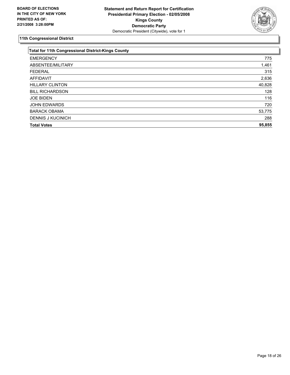

| <b>Total for 11th Congressional District-Kings County</b> |        |
|-----------------------------------------------------------|--------|
| <b>EMERGENCY</b>                                          | 775    |
| ABSENTEE/MILITARY                                         | 1,461  |
| <b>FEDERAL</b>                                            | 315    |
| <b>AFFIDAVIT</b>                                          | 2,636  |
| <b>HILLARY CLINTON</b>                                    | 40,828 |
| <b>BILL RICHARDSON</b>                                    | 128    |
| <b>JOE BIDEN</b>                                          | 116    |
| <b>JOHN EDWARDS</b>                                       | 720    |
| <b>BARACK OBAMA</b>                                       | 53,775 |
| <b>DENNIS J KUCINICH</b>                                  | 288    |
| <b>Total Votes</b>                                        | 95,855 |
|                                                           |        |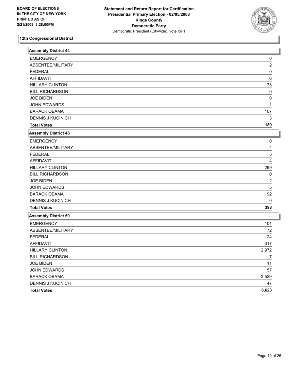

| <b>Assembly District 44</b> |                |
|-----------------------------|----------------|
| <b>EMERGENCY</b>            | 0              |
| ABSENTEE/MILITARY           | $\overline{c}$ |
| <b>FEDERAL</b>              | 0              |
| <b>AFFIDAVIT</b>            | 6              |
| <b>HILLARY CLINTON</b>      | 78             |
| <b>BILL RICHARDSON</b>      | 0              |
| <b>JOE BIDEN</b>            | $\Omega$       |
| <b>JOHN EDWARDS</b>         | 1              |
| <b>BARACK OBAMA</b>         | 107            |
| <b>DENNIS J KUCINICH</b>    | 3              |
| <b>Total Votes</b>          | 189            |
| Assembly District 48        |                |
| <b>EMERGENCY</b>            | 0              |
| ABSENTEE/MILITARY           | 4              |
| <b>FEDERAL</b>              | 5              |
| <b>AFFIDAVIT</b>            | 4              |
| <b>HILLARY CLINTON</b>      | 299            |
| <b>BILL RICHARDSON</b>      | $\Omega$       |
| <b>JOE BIDEN</b>            | $\overline{2}$ |
| <b>JOHN EDWARDS</b>         | 5              |
| <b>BARACK OBAMA</b>         | 92             |
| DENNIS J KUCINICH           | 0              |
| <b>Total Votes</b>          | 398            |
| <b>Assembly District 50</b> |                |
| <b>EMERGENCY</b>            | 101            |
| ABSENTEE/MILITARY           | 72             |
| <b>FEDERAL</b>              | 24             |
| <b>AFFIDAVIT</b>            | 317            |
| <b>HILLARY CLINTON</b>      | 2,972          |
| <b>BILL RICHARDSON</b>      | $\overline{7}$ |
| <b>JOE BIDEN</b>            | 11             |
| JOHN EDWARDS                | 57             |
| <b>BARACK OBAMA</b>         | 3,529          |
| DENNIS J KUCINICH           | 47             |
| <b>Total Votes</b>          | 6,623          |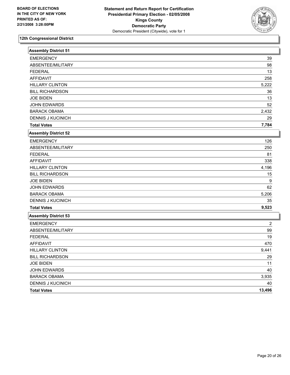

| <b>Assembly District 51</b> |        |
|-----------------------------|--------|
| <b>EMERGENCY</b>            | 39     |
| ABSENTEE/MILITARY           | 98     |
| <b>FEDERAL</b>              | 13     |
| <b>AFFIDAVIT</b>            | 258    |
| <b>HILLARY CLINTON</b>      | 5,222  |
| <b>BILL RICHARDSON</b>      | 36     |
| <b>JOE BIDEN</b>            | 13     |
| <b>JOHN EDWARDS</b>         | 52     |
| <b>BARACK OBAMA</b>         | 2,432  |
| <b>DENNIS J KUCINICH</b>    | 29     |
| <b>Total Votes</b>          | 7,784  |
| <b>Assembly District 52</b> |        |
| <b>EMERGENCY</b>            | 126    |
| ABSENTEE/MILITARY           | 250    |
| <b>FEDERAL</b>              | 81     |
| <b>AFFIDAVIT</b>            | 338    |
| <b>HILLARY CLINTON</b>      | 4,196  |
| <b>BILL RICHARDSON</b>      | 15     |
| <b>JOE BIDEN</b>            | 9      |
| JOHN EDWARDS                | 62     |
| <b>BARACK OBAMA</b>         | 5,206  |
| <b>DENNIS J KUCINICH</b>    | 35     |
| <b>Total Votes</b>          | 9,523  |
| Assembly District 53        |        |
| <b>EMERGENCY</b>            | 2      |
| ABSENTEE/MILITARY           | 99     |
| <b>FEDERAL</b>              | 19     |
| <b>AFFIDAVIT</b>            | 470    |
| <b>HILLARY CLINTON</b>      | 9,441  |
| <b>BILL RICHARDSON</b>      | 29     |
| <b>JOE BIDEN</b>            | 11     |
| <b>JOHN EDWARDS</b>         | 40     |
| <b>BARACK OBAMA</b>         | 3,935  |
| <b>DENNIS J KUCINICH</b>    | 40     |
| <b>Total Votes</b>          | 13,496 |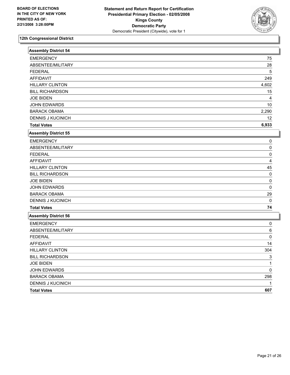

| <b>Assembly District 54</b> |          |
|-----------------------------|----------|
| <b>EMERGENCY</b>            | 75       |
| ABSENTEE/MILITARY           | 28       |
| <b>FEDERAL</b>              | 5        |
| <b>AFFIDAVIT</b>            | 249      |
| <b>HILLARY CLINTON</b>      | 4,602    |
| <b>BILL RICHARDSON</b>      | 15       |
| <b>JOE BIDEN</b>            | 4        |
| <b>JOHN EDWARDS</b>         | 10       |
| <b>BARACK OBAMA</b>         | 2,290    |
| <b>DENNIS J KUCINICH</b>    | 12       |
| <b>Total Votes</b>          | 6,933    |
| <b>Assembly District 55</b> |          |
| <b>EMERGENCY</b>            | 0        |
| ABSENTEE/MILITARY           | 0        |
| <b>FEDERAL</b>              | 0        |
| <b>AFFIDAVIT</b>            | 4        |
| <b>HILLARY CLINTON</b>      | 45       |
| <b>BILL RICHARDSON</b>      | $\Omega$ |
| <b>JOE BIDEN</b>            | 0        |
| <b>JOHN EDWARDS</b>         | 0        |
| <b>BARACK OBAMA</b>         | 29       |
| <b>DENNIS J KUCINICH</b>    | 0        |
| <b>Total Votes</b>          | 74       |
| <b>Assembly District 56</b> |          |
| <b>EMERGENCY</b>            | 0        |
| ABSENTEE/MILITARY           | 6        |
| <b>FEDERAL</b>              | 0        |
| <b>AFFIDAVIT</b>            | 14       |
| <b>HILLARY CLINTON</b>      | 304      |
| <b>BILL RICHARDSON</b>      | 3        |
| <b>JOE BIDEN</b>            | 1        |
| JOHN EDWARDS                | 0        |
| <b>BARACK OBAMA</b>         | 298      |
| <b>DENNIS J KUCINICH</b>    |          |
| <b>Total Votes</b>          | 607      |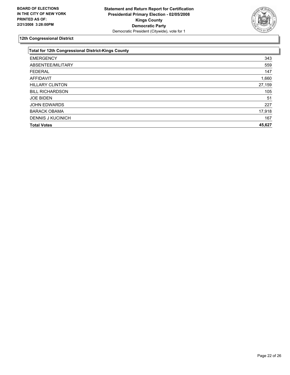

| <b>Total for 12th Congressional District-Kings County</b> |        |
|-----------------------------------------------------------|--------|
| <b>EMERGENCY</b>                                          | 343    |
| ABSENTEE/MILITARY                                         | 559    |
| <b>FEDERAL</b>                                            | 147    |
| <b>AFFIDAVIT</b>                                          | 1,660  |
| <b>HILLARY CLINTON</b>                                    | 27,159 |
| <b>BILL RICHARDSON</b>                                    | 105    |
| <b>JOE BIDEN</b>                                          | 51     |
| <b>JOHN EDWARDS</b>                                       | 227    |
| <b>BARACK OBAMA</b>                                       | 17,918 |
| <b>DENNIS J KUCINICH</b>                                  | 167    |
| <b>Total Votes</b>                                        | 45,627 |
|                                                           |        |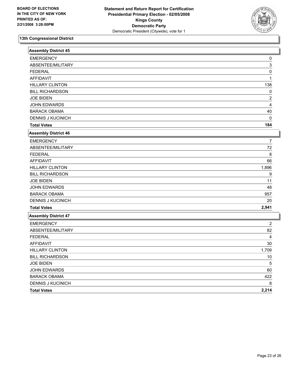

| <b>Assembly District 45</b> |                |
|-----------------------------|----------------|
| <b>EMERGENCY</b>            | 0              |
| ABSENTEE/MILITARY           | 3              |
| <b>FEDERAL</b>              | 0              |
| <b>AFFIDAVIT</b>            | 1              |
| <b>HILLARY CLINTON</b>      | 138            |
| <b>BILL RICHARDSON</b>      | $\Omega$       |
| <b>JOE BIDEN</b>            | $\overline{2}$ |
| JOHN EDWARDS                | 4              |
| <b>BARACK OBAMA</b>         | 40             |
| <b>DENNIS J KUCINICH</b>    | $\mathbf{0}$   |
| <b>Total Votes</b>          | 184            |
| <b>Assembly District 46</b> |                |
| <b>EMERGENCY</b>            | 7              |
| ABSENTEE/MILITARY           | 72             |
| <b>FEDERAL</b>              | 8              |
| <b>AFFIDAVIT</b>            | 66             |
| <b>HILLARY CLINTON</b>      | 1,896          |
| <b>BILL RICHARDSON</b>      | 9              |
| <b>JOE BIDEN</b>            | 11             |
| <b>JOHN EDWARDS</b>         | 48             |
| <b>BARACK OBAMA</b>         | 957            |
| <b>DENNIS J KUCINICH</b>    | 20             |
| <b>Total Votes</b>          | 2,941          |
| <b>Assembly District 47</b> |                |
| <b>EMERGENCY</b>            | 2              |
| ABSENTEE/MILITARY           | 82             |
| <b>FEDERAL</b>              | 4              |
| <b>AFFIDAVIT</b>            | 30             |
| <b>HILLARY CLINTON</b>      | 1,709          |
| <b>BILL RICHARDSON</b>      | $10$           |
| <b>JOE BIDEN</b>            | 5              |
| <b>JOHN EDWARDS</b>         | 60             |
| <b>BARACK OBAMA</b>         | 422            |
| <b>DENNIS J KUCINICH</b>    |                |
| <b>Total Votes</b>          | 2,214          |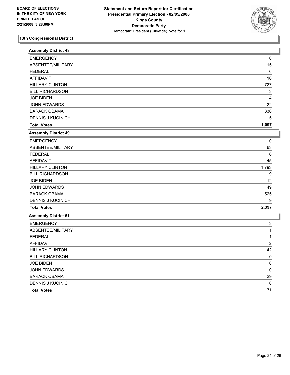

| <b>Assembly District 48</b> |                |
|-----------------------------|----------------|
| <b>EMERGENCY</b>            | 0              |
| ABSENTEE/MILITARY           | 15             |
| <b>FEDERAL</b>              | $\,6\,$        |
| <b>AFFIDAVIT</b>            | 16             |
| <b>HILLARY CLINTON</b>      | 727            |
| <b>BILL RICHARDSON</b>      | 3              |
| <b>JOE BIDEN</b>            | 4              |
| <b>JOHN EDWARDS</b>         | 22             |
| <b>BARACK OBAMA</b>         | 336            |
| <b>DENNIS J KUCINICH</b>    | 5              |
| <b>Total Votes</b>          | 1,097          |
| <b>Assembly District 49</b> |                |
| <b>EMERGENCY</b>            | 0              |
| ABSENTEE/MILITARY           | 63             |
| <b>FEDERAL</b>              | 6              |
| <b>AFFIDAVIT</b>            | 45             |
| <b>HILLARY CLINTON</b>      | 1,793          |
| <b>BILL RICHARDSON</b>      | 9              |
| <b>JOE BIDEN</b>            | 12             |
| <b>JOHN EDWARDS</b>         | 49             |
| <b>BARACK OBAMA</b>         | 525            |
| <b>DENNIS J KUCINICH</b>    | 9              |
| <b>Total Votes</b>          | 2,397          |
| <b>Assembly District 51</b> |                |
| <b>EMERGENCY</b>            | 3              |
| ABSENTEE/MILITARY           |                |
| <b>FEDERAL</b>              | 1              |
| <b>AFFIDAVIT</b>            | $\overline{c}$ |
| <b>HILLARY CLINTON</b>      | 42             |
| <b>BILL RICHARDSON</b>      | 0              |
| <b>JOE BIDEN</b>            | 0              |
| <b>JOHN EDWARDS</b>         | 0              |
| <b>BARACK OBAMA</b>         | 29             |
| <b>DENNIS J KUCINICH</b>    | 0              |
| <b>Total Votes</b>          | 71             |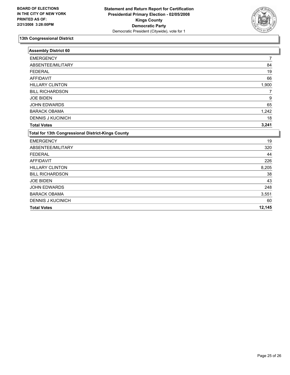

| <b>Assembly District 60</b>                               |        |
|-----------------------------------------------------------|--------|
| <b>EMERGENCY</b>                                          | 7      |
| ABSENTEE/MILITARY                                         | 84     |
| <b>FEDERAL</b>                                            | 19     |
| <b>AFFIDAVIT</b>                                          | 66     |
| <b>HILLARY CLINTON</b>                                    | 1,900  |
| <b>BILL RICHARDSON</b>                                    | 7      |
| <b>JOE BIDEN</b>                                          | 9      |
| <b>JOHN EDWARDS</b>                                       | 65     |
| <b>BARACK OBAMA</b>                                       | 1,242  |
| <b>DENNIS J KUCINICH</b>                                  | 18     |
| <b>Total Votes</b>                                        | 3,241  |
| <b>Total for 13th Congressional District-Kings County</b> |        |
| <b>EMERGENCY</b>                                          | 19     |
| ABSENTEE/MILITARY                                         | 320    |
| <b>FEDERAL</b>                                            | 44     |
| <b>AFFIDAVIT</b>                                          | 226    |
| <b>HILLARY CLINTON</b>                                    | 8,205  |
| <b>BILL RICHARDSON</b>                                    | 38     |
| <b>JOE BIDEN</b>                                          | 43     |
| <b>JOHN EDWARDS</b>                                       | 248    |
| <b>BARACK OBAMA</b>                                       | 3,551  |
| <b>DENNIS J KUCINICH</b>                                  | 60     |
| <b>Total Votes</b>                                        | 12,145 |